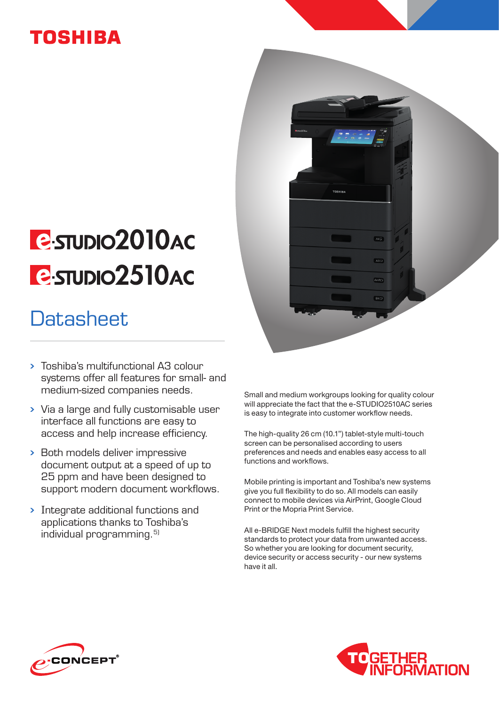### **TOSHIBA**

# **E**STUDIO2010AC **P-STUDIO2510AC**

# **Datasheet**

- Toshiba's multifunctional A3 colour systems offer all features for small- and medium-sized companies needs.
- Via a large and fully customisable user interface all functions are easy to access and help increase efficiency.
- Both models deliver impressive document output at a speed of up to 25 ppm and have been designed to support modern document workflows.
- Integrate additional functions and applications thanks to Toshiba's individual programming.<sup>5)</sup>

Small and medium workgroups looking for quality colour will appreciate the fact that the e-STUDIO2510AC series is easy to integrate into customer workflow needs.

 $AAD$ 

 $A3C$ 

A4-RG

B<sub>4</sub>D

The high-quality 26 cm (10.1") tablet-style multi-touch screen can be personalised according to users preferences and needs and enables easy access to all functions and workflows.

Mobile printing is important and Toshiba's new systems give you full flexibility to do so. All models can easily connect to mobile devices via AirPrint, Google Cloud Print or the Mopria Print Service.

All e-BRIDGE Next models fulfill the highest security standards to protect your data from unwanted access. So whether you are looking for document security, device security or access security - our new systems have it all.



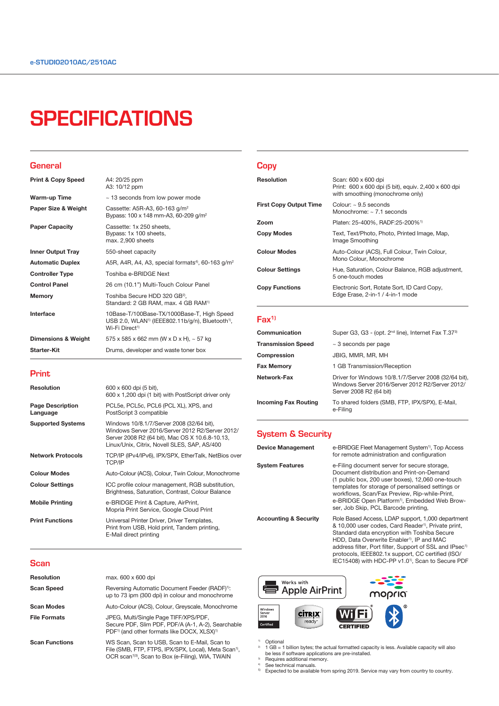## **SPECIFICATIONS**

#### **General**

| <b>Print &amp; Copy Speed</b>  | A4: 20/25 ppm<br>A3: 10/12 ppm                                                                                                                       |
|--------------------------------|------------------------------------------------------------------------------------------------------------------------------------------------------|
| Warm-up Time                   | ~13 seconds from low power mode                                                                                                                      |
| Paper Size & Weight            | Cassette: A5R-A3, 60-163 g/m <sup>2</sup><br>Bypass: 100 x 148 mm-A3, 60-209 g/m <sup>2</sup>                                                        |
| <b>Paper Capacity</b>          | Cassette: 1x 250 sheets,<br>Bypass: 1x 100 sheets,<br>max. 2,900 sheets                                                                              |
| <b>Inner Output Tray</b>       | 550-sheet capacity                                                                                                                                   |
| <b>Automatic Duplex</b>        | A5R, A4R, A4, A3, special formats <sup>4</sup> , 60-163 $q/m^2$                                                                                      |
| <b>Controller Type</b>         | Toshiba e-BRIDGE Next                                                                                                                                |
| <b>Control Panel</b>           | 26 cm (10.1") Multi-Touch Colour Panel                                                                                                               |
| <b>Memory</b>                  | Toshiba Secure HDD 320 GB <sup>2</sup> ,<br>Standard: 2 GB RAM, max. 4 GB RAM <sup>1)</sup>                                                          |
| Interface                      | 10Base-T/100Base-TX/1000Base-T, High Speed<br>USB 2.0, WLAN <sup>1)</sup> (IEEE802.11b/q/n), Bluetooth <sup>1)</sup> ,<br>Wi-Fi Direct <sup>1)</sup> |
| <b>Dimensions &amp; Weight</b> | 575 x 585 x 662 mm (W x D x H), $\sim$ 57 kg                                                                                                         |
| <b>Starter-Kit</b>             | Drums, developer and waste toner box                                                                                                                 |

#### Print

| <b>Resolution</b>                   | 600 x 600 dpi (5 bit),<br>600 x 1,200 dpi (1 bit) with PostScript driver only                                                                                                                   |
|-------------------------------------|-------------------------------------------------------------------------------------------------------------------------------------------------------------------------------------------------|
| <b>Page Description</b><br>Language | PCL5e, PCL5c, PCL6 (PCL XL), XPS, and<br>PostScript 3 compatible                                                                                                                                |
| <b>Supported Systems</b>            | Windows 10/8.1/7/Server 2008 (32/64 bit),<br>Windows Server 2016/Server 2012 R2/Server 2012/<br>Server 2008 R2 (64 bit), Mac OS X 10.6.8-10.13,<br>Linux/Unix, Citrix, Novell SLES, SAP, AS/400 |
| <b>Network Protocols</b>            | TCP/IP (IPv4/IPv6), IPX/SPX, EtherTalk, NetBios over<br><b>TCP/IP</b>                                                                                                                           |
| <b>Colour Modes</b>                 | Auto-Colour (ACS), Colour, Twin Colour, Monochrome                                                                                                                                              |
| <b>Colour Settings</b>              | ICC profile colour management, RGB substitution,<br>Brightness, Saturation, Contrast, Colour Balance                                                                                            |
| <b>Mobile Printing</b>              | e-BRIDGE Print & Capture, AirPrint,<br>Mopria Print Service, Google Cloud Print                                                                                                                 |
| <b>Print Functions</b>              | Universal Printer Driver, Driver Templates,<br>Print from USB, Hold print, Tandem printing,<br>E-Mail direct printing                                                                           |

### **Scan**

| <b>Resolution</b>     | max. 600 x 600 dpi                                                                                                                                                                 |
|-----------------------|------------------------------------------------------------------------------------------------------------------------------------------------------------------------------------|
| <b>Scan Speed</b>     | Reversing Automatic Document Feeder (RADF) <sup>1)</sup> :<br>up to 73 ipm (300 dpi) in colour and monochrome                                                                      |
| <b>Scan Modes</b>     | Auto-Colour (ACS), Colour, Greyscale, Monochrome                                                                                                                                   |
| <b>File Formats</b>   | JPEG, Multi/Single Page TIFF/XPS/PDF,<br>Secure PDF, Slim PDF, PDF/A (A-1, A-2), Searchable<br>PDF <sup>1)</sup> (and other formats like DOCX, XLSX) <sup>1)</sup>                 |
| <b>Scan Functions</b> | WS Scan, Scan to USB, Scan to E-Mail, Scan to<br>File (SMB, FTP, FTPS, IPX/SPX, Local), Meta Scan <sup>1)</sup> ,<br>OCR scan <sup>1)3)</sup> , Scan to Box (e-Filing), WIA, TWAIN |

### **Copy**

| <b>Resolution</b>             | Scan: 600 x 600 dpi<br>Print: 600 x 600 dpi (5 bit), equiv. 2,400 x 600 dpi<br>with smoothing (monochrome only) |
|-------------------------------|-----------------------------------------------------------------------------------------------------------------|
| <b>First Copy Output Time</b> | Colour: $\sim$ 9.5 seconds<br>Monochrome: $\sim$ 7.1 seconds                                                    |
| Zoom                          | Platen: 25-400%, RADF:25-200% <sup>1)</sup>                                                                     |
| Copy Modes                    | Text, Text/Photo, Photo, Printed Image, Map,<br>Image Smoothing                                                 |
| <b>Colour Modes</b>           | Auto-Colour (ACS), Full Colour, Twin Colour,<br>Mono Colour, Monochrome                                         |
| <b>Colour Settings</b>        | Hue, Saturation, Colour Balance, RGB adjustment,<br>5 one-touch modes                                           |
| <b>Copy Functions</b>         | Electronic Sort, Rotate Sort, ID Card Copy,<br>Edge Erase, 2-in-1 / 4-in-1 mode                                 |
|                               |                                                                                                                 |

### Fax<sup>1)</sup>

| Communication               | Super G3, G3 - (opt. 2 <sup>nd</sup> line), Internet Fax T.37 <sup>3)</sup>                                                        |
|-----------------------------|------------------------------------------------------------------------------------------------------------------------------------|
| <b>Transmission Speed</b>   | $\sim$ 3 seconds per page                                                                                                          |
| Compression                 | JBIG, MMR, MR, MH                                                                                                                  |
| <b>Fax Memory</b>           | 1 GB Transmission/Reception                                                                                                        |
| Network-Fax                 | Driver for Windows 10/8.1/7/Server 2008 (32/64 bit),<br>Windows Server 2016/Server 2012 R2/Server 2012/<br>Server 2008 R2 (64 bit) |
| <b>Incoming Fax Routing</b> | To shared folders (SMB, FTP, IPX/SPX), E-Mail,<br>e-Filina                                                                         |

### System & Security

| <b>Device Management</b>         | e-BRIDGE Fleet Management System <sup>1)</sup> , Top Access<br>for remote administration and configuration                                                                                                                                                                                                                                               |
|----------------------------------|----------------------------------------------------------------------------------------------------------------------------------------------------------------------------------------------------------------------------------------------------------------------------------------------------------------------------------------------------------|
| <b>System Features</b>           | e-Filing document server for secure storage,<br>Document distribution and Print-on-Demand<br>(1 public box, 200 user boxes), 12,060 one-touch<br>templates for storage of personalised settings or<br>workflows, Scan/Fax Preview, Rip-while-Print,<br>e-BRIDGE Open Platform <sup>1)</sup> , Embedded Web Brow-<br>ser, Job Skip, PCL Barcode printing, |
| <b>Accounting &amp; Security</b> | Role Based Access, LDAP support, 1,000 department<br>& 10,000 user codes, Card Reader <sup>1)</sup> , Private print,<br>Standard data encryption with Toshiba Secure<br>HDD, Data Overwrite Enabler <sup>1)</sup> , IP and MAC                                                                                                                           |

address filter, Port filter, Support of SSL and IPsec<sup>1)</sup> protocols, IEEE802.1x support, CC certified (ISO/ IEC15408) with HDC-PP v1.01), Scan to Secure PDF



<sup>9</sup> 1 GB = 1 billion bytes; the actual formatted capacity is less. Available capacity will also<br><sup>9</sup> 1 GB = 1 billion bytes; the actual formatted capacity is less. Available capacity will also<br><sup>9</sup> Requires additional memory

<sup>4)</sup> See technical manuals.<br><sup>5)</sup> Expected to be available from spring 2019. Service may vary from country to country.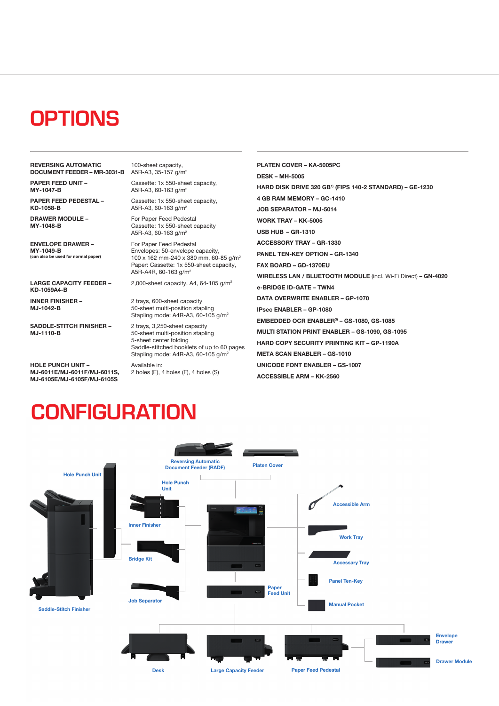# **OPTIONS**

REVERSING AUTOMATIC **DOCUMENT FEEDER - MR-3031-B** A5R-A3, 35-157 g/m<sup>2</sup>

PAPER FEED UNIT – MY-1047-B

PAPER FEED PEDESTAL – KD-1058-B

DRAWER MODULE – MY-1048-B

ENVELOPE DRAWER – MY-1049-B  $\overline{\phantom{a}}$  (can be used for normal paper)

LARGE CAPACITY FEEDER – KD-1059A4-B

INNER FINISHER – MJ-1042-B

SADDLE-STITCH FINISHER – MJ-1110-B

HOLE PUNCH UNIT – MJ-6011E/MJ-6011F/MJ-6011S, MJ-6105E/MJ-6105F/MJ-6105S

100-sheet capacity,

Cassette: 1x 550-sheet capacity, A5R-A3, 60-163 g/m2

Cassette: 1x 550-sheet capacity, A5R-A3, 60-163 g/m2

For Paper Feed Pedestal Cassette: 1x 550-sheet capacity A5R-A3, 60-163 g/m2

For Paper Feed Pedestal Envelopes: 50-envelope capacity, 100 x 162 mm-240 x 380 mm, 60-85 g/m2 Paper: Cassette: 1x 550-sheet capacity, A5R-A4R, 60-163 g/m2

2,000-sheet capacity, A4, 64-105 g/m2

2 trays, 600-sheet capacity 50-sheet multi-position stapling Stapling mode: A4R-A3, 60-105 g/m2

2 trays, 3,250-sheet capacity 50-sheet multi-position stapling 5-sheet center folding Saddle-stitched booklets of up to 60 pages Stapling mode: A4R-A3, 60-105 g/m2 Available in: 2 holes (E), 4 holes (F), 4 holes (S)

PLATEN COVER – KA-5005PC DESK – MH-5005 HARD DISK DRIVE 320 GB1) (FIPS 140-2 STANDARD) – GE-1230 4 GB RAM MEMORY – GC-1410 JOB SEPARATOR – MJ-5014 WORK TRAY – KK-5005 USB HUB – GR-1310 ACCESSORY TRAY – GR-1330 PANEL TEN-KEY OPTION – GR-1340 FAX BOARD – GD-1370EU WIRELESS LAN / BLUETOOTH MODULE (incl. Wi-Fi Direct) – GN-4020 e-BRIDGE ID-GATE – TWN4 DATA OVERWRITE ENABLER – GP-1070 IPsec ENABLER – GP-1080 EMBEDDED OCR ENABLER3) – GS-1080, GS-1085 MULTI STATION PRINT ENABLER – GS-1090, GS-1095 HARD COPY SECURITY PRINTING KIT – GP-1190A META SCAN ENABLER – GS-1010 UNICODE FONT ENABLER – GS-1007 ACCESSIBLE ARM – KK-2560

# **CONFIGURATION**